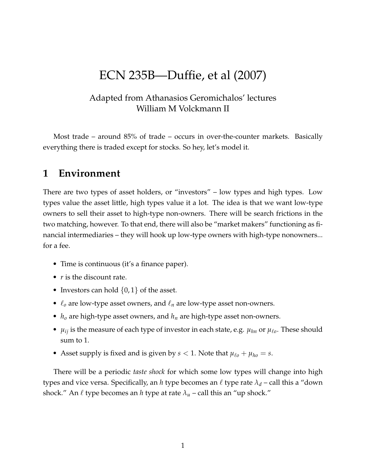# ECN 235B—Duffie, et al (2007)

### Adapted from Athanasios Geromichalos' lectures William M Volckmann II

Most trade – around 85% of trade – occurs in over-the-counter markets. Basically everything there is traded except for stocks. So hey, let's model it.

# **1 Environment**

There are two types of asset holders, or "investors" – low types and high types. Low types value the asset little, high types value it a lot. The idea is that we want low-type owners to sell their asset to high-type non-owners. There will be search frictions in the two matching, however. To that end, there will also be "market makers" functioning as financial intermediaries – they will hook up low-type owners with high-type nonowners... for a fee.

- Time is continuous (it's a finance paper).
- *r* is the discount rate.
- Investors can hold  $\{0,1\}$  of the asset.
- ℓ*<sup>o</sup>* are low-type asset owners, and ℓ*<sup>n</sup>* are low-type asset non-owners.
- $h_0$  are high-type asset owners, and  $h_n$  are high-type asset non-owners.
- $\mu_{ij}$  is the measure of each type of investor in each state, e.g.  $\mu_{hn}$  or  $\mu_{\ell o}$ . These should sum to 1.
- Asset supply is fixed and is given by  $s < 1$ . Note that  $\mu_{\ell o} + \mu_{ho} = s$ .

There will be a periodic *taste shock* for which some low types will change into high types and vice versa. Specifically, an *h* type becomes an ℓ type rate *λ<sup>d</sup>* – call this a "down shock." An  $\ell$  type becomes an *h* type at rate  $\lambda_u$  – call this an "up shock."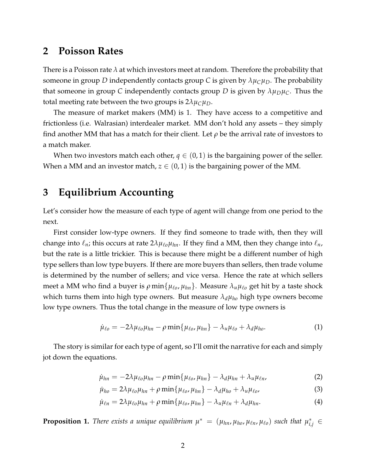### **2 Poisson Rates**

There is a Poisson rate *λ* at which investors meet at random. Therefore the probability that someone in group *D* independently contacts group *C* is given by  $\lambda \mu_C \mu_D$ . The probability that someone in group C independently contacts group D is given by  $\lambda \mu_D \mu_C$ . Thus the total meeting rate between the two groups is  $2\lambda\mu_C\mu_D$ .

The measure of market makers (MM) is 1. They have access to a competitive and frictionless (i.e. Walrasian) interdealer market. MM don't hold any assets – they simply find another MM that has a match for their client. Let  $\rho$  be the arrival rate of investors to a match maker.

When two investors match each other,  $q \in (0,1)$  is the bargaining power of the seller. When a MM and an investor match,  $z \in (0,1)$  is the bargaining power of the MM.

# **3 Equilibrium Accounting**

Let's consider how the measure of each type of agent will change from one period to the next.

First consider low-type owners. If they find someone to trade with, then they will change into  $\ell_n$ ; this occurs at rate  $2\lambda\mu_{\ell0}\mu_{hn}$ . If they find a MM, then they change into  $\ell_n$ , but the rate is a little trickier. This is because there might be a different number of high type sellers than low type buyers. If there are more buyers than sellers, then trade volume is determined by the number of sellers; and vice versa. Hence the rate at which sellers meet a MM who find a buyer is *ρ* min{*µ*ℓ*<sup>o</sup>* , *µhn*}. Measure *λuµ*ℓ*<sup>o</sup>* get hit by a taste shock which turns them into high type owners. But measure *λdµho* high type owners become low type owners. Thus the total change in the measure of low type owners is

$$
\dot{\mu}_{\ell o} = -2\lambda \mu_{\ell o} \mu_{hn} - \rho \min\{\mu_{\ell o}, \mu_{hn}\} - \lambda_u \mu_{\ell o} + \lambda_d \mu_{ho}. \tag{1}
$$

The story is similar for each type of agent, so I'll omit the narrative for each and simply jot down the equations.

$$
\dot{\mu}_{hn} = -2\lambda\mu_{\ell o}\mu_{hn} - \rho \min\{\mu_{\ell o}, \mu_{hn}\} - \lambda_d \mu_{hn} + \lambda_u \mu_{\ell n}, \tag{2}
$$

$$
\dot{\mu}_{ho} = 2\lambda\mu_{\ell o}\mu_{hn} + \rho \min\{\mu_{\ell o}, \mu_{hn}\} - \lambda_d \mu_{ho} + \lambda_u \mu_{\ell o}, \tag{3}
$$

$$
\dot{\mu}_{\ell n} = 2\lambda \mu_{\ell o} \mu_{hn} + \rho \min \{ \mu_{\ell o}, \mu_{hn} \} - \lambda_u \mu_{\ell n} + \lambda_d \mu_{hn}.
$$
\n(4)

**Proposition 1.** There exists a unique equilibrium  $\mu^* = (\mu_{hn}, \mu_{ho}, \mu_{\ell n}, \mu_{\ell o})$  such that  $\mu^*_{i,j} \in$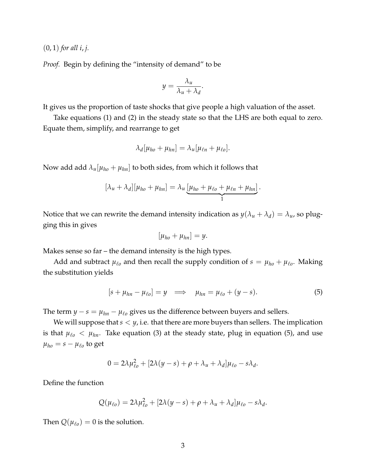(0, 1) *for all i*, *j.*

*Proof.* Begin by defining the "intensity of demand" to be

$$
y = \frac{\lambda_u}{\lambda_u + \lambda_d}.
$$

It gives us the proportion of taste shocks that give people a high valuation of the asset.

Take equations (1) and (2) in the steady state so that the LHS are both equal to zero. Equate them, simplify, and rearrange to get

$$
\lambda_d[\mu_{ho} + \mu_{hn}] = \lambda_u[\mu_{\ell n} + \mu_{\ell 0}].
$$

Now add add  $\lambda_u[\mu_{ho} + \mu_{hn}]$  to both sides, from which it follows that

$$
[\lambda_u + \lambda_d][\mu_{ho} + \mu_{hn}] = \lambda_u \underbrace{[\mu_{ho} + \mu_{\ell o} + \mu_{\ell n} + \mu_{hn}]}_{1}.
$$

Notice that we can rewrite the demand intensity indication as  $y(\lambda_u + \lambda_d) = \lambda_u$ , so plugging this in gives

$$
[\mu_{ho}+\mu_{hn}]=y.
$$

Makes sense so far – the demand intensity is the high types.

Add and subtract  $\mu_{\ell o}$  and then recall the supply condition of  $s = \mu_{ho} + \mu_{\ell o}$ . Making the substitution yields

$$
[s + \mu_{hn} - \mu_{\ell o}] = y \implies \mu_{hn} = \mu_{\ell o} + (y - s). \tag{5}
$$

The term  $y - s = \mu_{hn} - \mu_{\ell o}$  gives us the difference between buyers and sellers.

We will suppose that  $s < y$ , i.e. that there are more buyers than sellers. The implication is that  $\mu_{\ell o} < \mu_{hn}$ . Take equation (3) at the steady state, plug in equation (5), and use  $\mu_{ho} = s - \mu_{\ell o}$  to get

$$
0 = 2\lambda \mu_{\ell 0}^2 + [2\lambda (y - s) + \rho + \lambda_u + \lambda_d] \mu_{\ell 0} - s\lambda_d.
$$

Define the function

$$
Q(\mu_{\ell o}) = 2\lambda \mu_{\ell o}^2 + [2\lambda (y - s) + \rho + \lambda_u + \lambda_d] \mu_{\ell o} - s\lambda_d.
$$

Then  $Q(\mu_{\ell o}) = 0$  is the solution.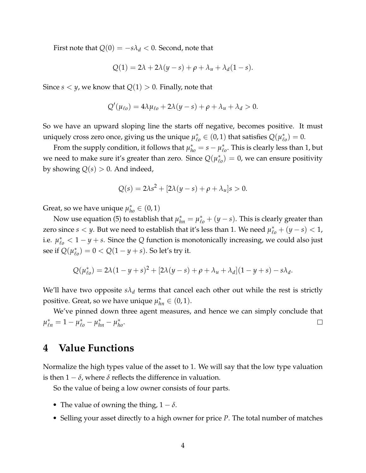First note that  $Q(0) = -s\lambda_d < 0.$  Second, note that

$$
Q(1) = 2\lambda + 2\lambda(y - s) + \rho + \lambda_u + \lambda_d(1 - s).
$$

Since  $s < y$ , we know that  $Q(1) > 0$ . Finally, note that

$$
Q'(\mu_{\ell o}) = 4\lambda \mu_{\ell o} + 2\lambda (y - s) + \rho + \lambda_u + \lambda_d > 0.
$$

So we have an upward sloping line the starts off negative, becomes positive. It must uniquely cross zero once, giving us the unique  $\mu_{\ell o}^* \in (0,1)$  that satisfies  $Q(\mu_{\ell o}^*)$  $_{\ell o}^{*}$  $) = 0.$ 

From the supply condition, it follows that  $\mu_{ho}^* = s - \mu_{\ell}^*$  $_{\ell o}^*$ . This is clearly less than 1, but we need to make sure it's greater than zero. Since *Q*(*µ* ∗  $(\ell_0)^* = 0$ , we can ensure positivity by showing  $Q(s) > 0$ . And indeed,

$$
Q(s) = 2\lambda s^2 + [2\lambda(y - s) + \rho + \lambda_u]s > 0.
$$

Great, so we have unique  $\mu_{ho}^* \in (0,1)$ 

Now use equation (5) to establish that  $\mu_{hn}^* = \mu_{\ell_0}^* + (y - s)$ . This is clearly greater than zero since  $s < y$ . But we need to establish that it's less than 1. We need  $\mu_{\ell o}^* + (y - s) < 1$ , i.e.  $\mu_{\ell o}^* < 1 - y + s$ . Since the *Q* function is monotonically increasing, we could also just see if  $Q(\mu_{\ell}^*)$  $\chi^*_{\ell o}$  = 0 < Q(1 − *y* + *s*). So let's try it.

$$
Q(\mu_{\ell o}^*) = 2\lambda(1 - y + s)^2 + [2\lambda(y - s) + \rho + \lambda_u + \lambda_d](1 - y + s) - s\lambda_d.
$$

We'll have two opposite  $s\lambda_d$  terms that cancel each other out while the rest is strictly positive. Great, so we have unique  $\mu_{hn}^* \in (0,1)$ .

We've pinned down three agent measures, and hence we can simply conclude that  $\mu_{\ell n}^* = 1 - \mu_{\ell o}^* - \mu_{hn}^* - \mu_{ho}^*.$  $\Box$ 

# **4 Value Functions**

Normalize the high types value of the asset to 1. We will say that the low type valuation is then  $1 - \delta$ , where  $\delta$  reflects the difference in valuation.

So the value of being a low owner consists of four parts.

- The value of owning the thing,  $1 \delta$ .
- Selling your asset directly to a high owner for price *P*. The total number of matches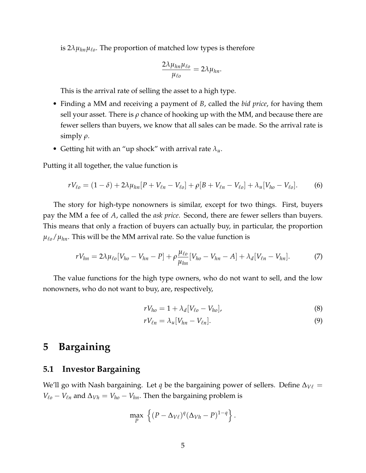is 2*λµhnµ*ℓ*<sup>o</sup>* . The proportion of matched low types is therefore

$$
\frac{2\lambda\mu_{hn}\mu_{\ell o}}{\mu_{\ell o}}=2\lambda\mu_{hn}.
$$

This is the arrival rate of selling the asset to a high type.

- Finding a MM and receiving a payment of *B*, called the *bid price*, for having them sell your asset. There is  $\rho$  chance of hooking up with the MM, and because there are fewer sellers than buyers, we know that all sales can be made. So the arrival rate is simply *ρ*.
- Getting hit with an "up shock" with arrival rate  $\lambda_u$ .

Putting it all together, the value function is

$$
rV_{\ell o} = (1 - \delta) + 2\lambda \mu_{hn} [P + V_{\ell n} - V_{\ell o}] + \rho [B + V_{\ell n} - V_{\ell o}] + \lambda_u [V_{ho} - V_{\ell o}].
$$
 (6)

The story for high-type nonowners is similar, except for two things. First, buyers pay the MM a fee of *A*, called the *ask price*. Second, there are fewer sellers than buyers. This means that only a fraction of buyers can actually buy, in particular, the proportion  $\mu_{\ell_0}/\mu_{hn}$ . This will be the MM arrival rate. So the value function is

$$
rV_{hn} = 2\lambda\mu_{\ell o}[V_{ho} - V_{hn} - P] + \rho \frac{\mu_{\ell o}}{\mu_{hn}}[V_{ho} - V_{hn} - A] + \lambda_d[V_{\ell n} - V_{hn}].
$$
 (7)

The value functions for the high type owners, who do not want to sell, and the low nonowners, who do not want to buy, are, respectively,

$$
rV_{ho} = 1 + \lambda_d [V_{\ell o} - V_{ho}], \qquad (8)
$$

$$
rV_{\ell n} = \lambda_u [V_{hn} - V_{\ell n}]. \tag{9}
$$

# **5 Bargaining**

#### **5.1 Investor Bargaining**

We'll go with Nash bargaining. Let *q* be the bargaining power of sellers. Define ∆*V*<sup>ℓ</sup> = *V*<sup> $\ell$ </sup><sup> $o$ </sup> − *V*<sup> $\ell$ </sup><sup>*n*</sup> and  $\Delta$ <sub>*V*</sub> *= <i>V*<sub>*ho*</sub> − *V*<sub>*hn*</sub>. Then the bargaining problem is

$$
\max_{P} \left\{ (P - \Delta_{V\ell})^q (\Delta_{Vh} - P)^{1-q} \right\}.
$$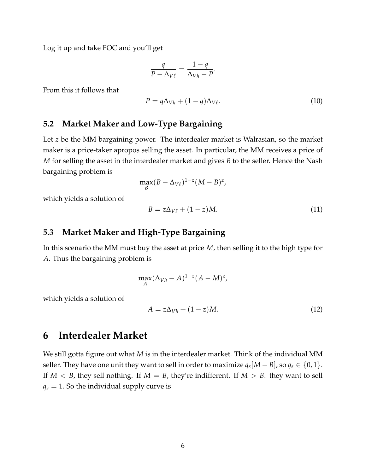Log it up and take FOC and you'll get

$$
\frac{q}{P - \Delta_{V\ell}} = \frac{1 - q}{\Delta_{Vh} - P}.
$$

From this it follows that

$$
P = q\Delta_{Vh} + (1 - q)\Delta_{V\ell}.
$$
\n(10)

#### **5.2 Market Maker and Low-Type Bargaining**

Let *z* be the MM bargaining power. The interdealer market is Walrasian, so the market maker is a price-taker apropos selling the asset. In particular, the MM receives a price of *M* for selling the asset in the interdealer market and gives *B* to the seller. Hence the Nash bargaining problem is

$$
\max_B (B - \Delta_{V\ell})^{1-z} (M - B)^z,
$$

which yields a solution of

$$
B = z\Delta_{V\ell} + (1 - z)M.\tag{11}
$$

#### **5.3 Market Maker and High-Type Bargaining**

In this scenario the MM must buy the asset at price *M*, then selling it to the high type for *A*. Thus the bargaining problem is

$$
\max_{A} (\Delta_{Vh} - A)^{1-z} (A - M)^{z},
$$

which yields a solution of

$$
A = z\Delta_{Vh} + (1 - z)M.
$$
 (12)

# **6 Interdealer Market**

We still gotta figure out what *M* is in the interdealer market. Think of the individual MM seller. They have one unit they want to sell in order to maximize  $q_s[M-B]$ , so  $q_s \in \{0,1\}.$ If  $M < B$ , they sell nothing. If  $M = B$ , they're indifferent. If  $M > B$ . they want to sell  $q_s = 1$ . So the individual supply curve is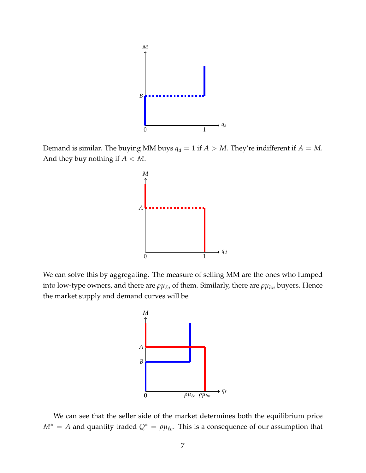

Demand is similar. The buying MM buys  $q_d = 1$  if  $A > M$ . They're indifferent if  $A = M$ . And they buy nothing if *A* < *M*.



We can solve this by aggregating. The measure of selling MM are the ones who lumped into low-type owners, and there are  $\rho \mu_{\ell o}$  of them. Similarly, there are  $\rho \mu_{hn}$  buyers. Hence the market supply and demand curves will be



We can see that the seller side of the market determines both the equilibrium price  $M^* = A$  and quantity traded  $Q^* = \rho \mu_{\ell o}$ . This is a consequence of our assumption that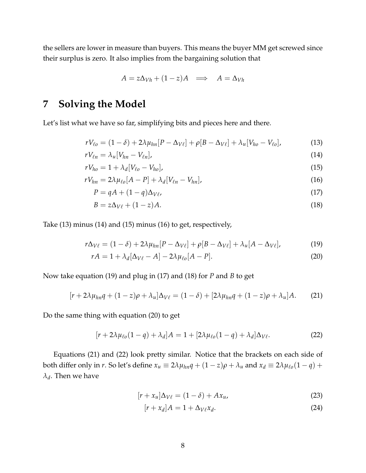the sellers are lower in measure than buyers. This means the buyer MM get screwed since their surplus is zero. It also implies from the bargaining solution that

$$
A = z\Delta_{Vh} + (1 - z)A \implies A = \Delta_{Vh}
$$

# **7 Solving the Model**

Let's list what we have so far, simplifying bits and pieces here and there.

$$
rV_{\ell o} = (1 - \delta) + 2\lambda \mu_{hn} [P - \Delta_{V\ell}] + \rho [B - \Delta_{V\ell}] + \lambda_u [V_{ho} - V_{\ell o}], \qquad (13)
$$

$$
rV_{\ell n} = \lambda_u[V_{nn} - V_{\ell n}], \tag{14}
$$

$$
rV_{ho} = 1 + \lambda_d [V_{\ell o} - V_{ho}], \qquad (15)
$$

$$
rV_{hn} = 2\lambda \mu_{\ell o}[A - P] + \lambda_d [V_{\ell n} - V_{hn}], \qquad (16)
$$

$$
P = qA + (1 - q)\Delta_{V\ell},\tag{17}
$$

$$
B = z\Delta_{V\ell} + (1 - z)A. \tag{18}
$$

Take (13) minus (14) and (15) minus (16) to get, respectively,

$$
r\Delta_{V\ell} = (1 - \delta) + 2\lambda\mu_{hn}[P - \Delta_{V\ell}] + \rho[B - \Delta_{V\ell}] + \lambda_u[A - \Delta_{V\ell}],
$$
\n(19)

$$
rA = 1 + \lambda_d [\Delta_{V\ell} - A] - 2\lambda \mu_{\ell o} [A - P]. \tag{20}
$$

Now take equation (19) and plug in (17) and (18) for *P* and *B* to get

$$
[r+2\lambda\mu_{hn}q+(1-z)\rho+\lambda_u]\Delta_{V\ell}=(1-\delta)+[2\lambda\mu_{hn}q+(1-z)\rho+\lambda_u]A.
$$
 (21)

Do the same thing with equation (20) to get

$$
[r+2\lambda\mu_{\ell o}(1-q)+\lambda_d]A=1+[2\lambda\mu_{\ell o}(1-q)+\lambda_d]\Delta_{V\ell}.
$$
\n(22)

Equations (21) and (22) look pretty similar. Notice that the brackets on each side of both differ only in *r*. So let's define  $x_u \equiv 2\lambda \mu_{hn}q + (1-z)\rho + \lambda_u$  and  $x_d \equiv 2\lambda \mu_{\ell o}(1-q) +$  $\lambda_d$ . Then we have

$$
[r + x_u] \Delta_{V\ell} = (1 - \delta) + Ax_u,
$$
\n(23)

$$
[r + x_d]A = 1 + \Delta_{V\ell} x_d. \tag{24}
$$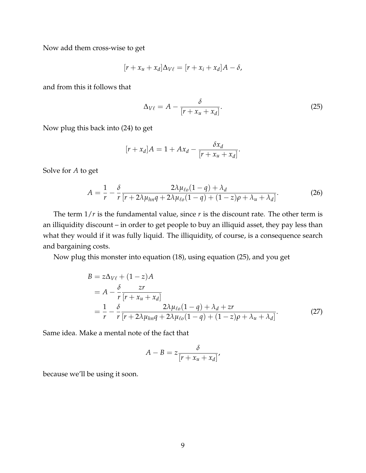Now add them cross-wise to get

$$
[r + x_u + x_d] \Delta_{V\ell} = [r + x_i + x_d]A - \delta,
$$

and from this it follows that

$$
\Delta_{V\ell} = A - \frac{\delta}{[r + x_u + x_d]}.
$$
\n(25)

Now plug this back into (24) to get

$$
[r + x_d]A = 1 + Ax_d - \frac{\delta x_d}{[r + x_u + x_d]}.
$$

Solve for *A* to get

$$
A = \frac{1}{r} - \frac{\delta}{r} \frac{2\lambda\mu_{\ell o}(1-q) + \lambda_d}{[r + 2\lambda\mu_{\ell o}(1-q) + (1-z)\rho + \lambda_u + \lambda_d]}.
$$
 (26)

The term  $1/r$  is the fundamental value, since  $r$  is the discount rate. The other term is an illiquidity discount – in order to get people to buy an illiquid asset, they pay less than what they would if it was fully liquid. The illiquidity, of course, is a consequence search and bargaining costs.

Now plug this monster into equation (18), using equation (25), and you get

$$
B = z\Delta_{V\ell} + (1 - z)A
$$
  
=  $A - \frac{\delta}{r} \frac{zr}{[r + x_u + x_d]}$   
=  $\frac{1}{r} - \frac{\delta}{r} \frac{2\lambda\mu_{\ell o}(1 - q) + \lambda_d + zr}{[r + 2\lambda\mu_{\ell n}q + 2\lambda\mu_{\ell o}(1 - q) + (1 - z)\rho + \lambda_u + \lambda_d]}.$  (27)

Same idea. Make a mental note of the fact that

$$
A - B = z \frac{\delta}{[r + x_u + x_d]},
$$

because we'll be using it soon.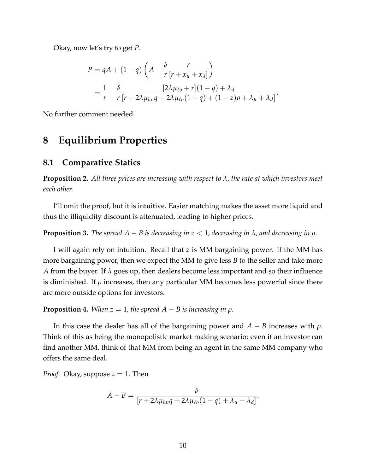Okay, now let's try to get *P*.

$$
P = qA + (1 - q) \left( A - \frac{\delta}{r} \frac{r}{[r + x_u + x_d]} \right)
$$
  
= 
$$
\frac{1}{r} - \frac{\delta}{r} \frac{[2\lambda\mu_{\ell o} + r](1 - q) + \lambda_d}{[r + 2\lambda\mu_{\ell o}(1 - q) + (1 - z)\rho + \lambda_u + \lambda_d]}.
$$

No further comment needed.

## **8 Equilibrium Properties**

#### **8.1 Comparative Statics**

**Proposition 2.** *All three prices are increasing with respect to λ, the rate at which investors meet each other.*

I'll omit the proof, but it is intuitive. Easier matching makes the asset more liquid and thus the illiquidity discount is attenuated, leading to higher prices.

**Proposition 3.** *The spread*  $A - B$  *is decreasing in*  $z < 1$ *, decreasing in*  $\lambda$ *, and decreasing in*  $\rho$ *.* 

I will again rely on intuition. Recall that *z* is MM bargaining power. If the MM has more bargaining power, then we expect the MM to give less *B* to the seller and take more *A* from the buyer. If *λ* goes up, then dealers become less important and so their influence is diminished. If  $\rho$  increases, then any particular MM becomes less powerful since there are more outside options for investors.

**Proposition 4.** *When*  $z = 1$ *, the spread*  $A - B$  *is increasing in*  $\rho$ *.* 

In this case the dealer has all of the bargaining power and  $A - B$  increases with  $\rho$ . Think of this as being the monopolistlc market making scenario; even if an investor can find another MM, think of that MM from being an agent in the same MM company who offers the same deal.

*Proof.* Okay, suppose  $z = 1$ . Then

$$
A-B=\frac{\delta}{[r+2\lambda\mu_{hn}q+2\lambda\mu_{\ell o}(1-q)+\lambda_u+\lambda_d]}.
$$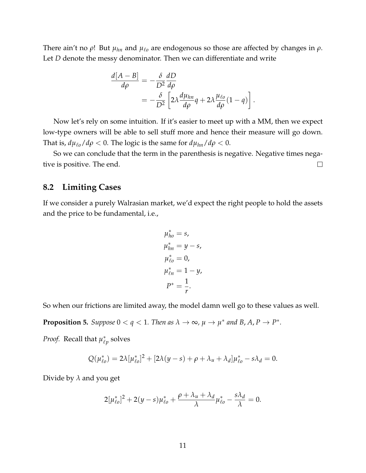There ain't no *ρ*! But *µhn* and *µ*ℓ*<sup>o</sup>* are endogenous so those are affected by changes in *ρ*. Let *D* denote the messy denominator. Then we can differentiate and write

$$
\frac{d[A-B]}{d\rho} = -\frac{\delta}{D^2} \frac{dD}{d\rho}
$$
  
= 
$$
-\frac{\delta}{D^2} \left[ 2\lambda \frac{d\mu_{hn}}{d\rho} q + 2\lambda \frac{\mu_{\ell o}}{d\rho} (1-q) \right].
$$

Now let's rely on some intuition. If it's easier to meet up with a MM, then we expect low-type owners will be able to sell stuff more and hence their measure will go down. That is,  $d\mu_{\ell\rho}/d\rho < 0$ . The logic is the same for  $d\mu_{hn}/d\rho < 0$ .

So we can conclude that the term in the parenthesis is negative. Negative times negative is positive. The end.  $\Box$ 

#### **8.2 Limiting Cases**

If we consider a purely Walrasian market, we'd expect the right people to hold the assets and the price to be fundamental, i.e.,

$$
\mu_{ho}^* = s,
$$
  
\n
$$
\mu_{hn}^* = y - s,
$$
  
\n
$$
\mu_{\ell0}^* = 0,
$$
  
\n
$$
\mu_{\ell n}^* = 1 - y,
$$
  
\n
$$
P^* = \frac{1}{r}.
$$

So when our frictions are limited away, the model damn well go to these values as well.

**Proposition 5.** Suppose  $0 < q < 1$ . Then as  $\lambda \to \infty$ ,  $\mu \to \mu^*$  and B, A,  $P \to P^*$ .

*Proof.* Recall that  $\mu_{\ell}^*$  $_{\ell p}^*$  solves

$$
Q(\mu_{\ell o}^*) = 2\lambda [\mu_{\ell o}^*]^2 + [2\lambda (y - s) + \rho + \lambda_u + \lambda_d] \mu_{\ell o}^* - s\lambda_d = 0.
$$

Divide by *λ* and you get

$$
2[\mu_{\ell o}^*]^2 + 2(y - s)\mu_{\ell o}^* + \frac{\rho + \lambda_u + \lambda_d}{\lambda} \mu_{\ell o}^* - \frac{s\lambda_d}{\lambda} = 0.
$$